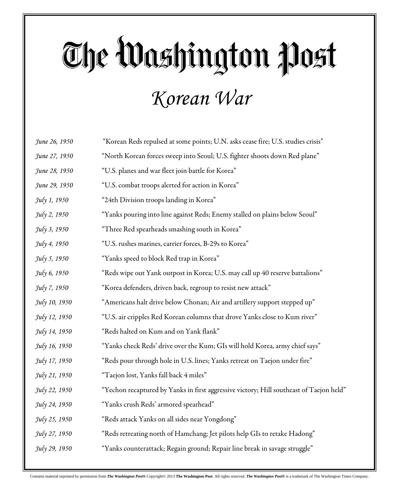#### *Korean War*

| June 26, 1950 | "Korean Reds repulsed at some points; U.N. asks cease fire; U.S. studies crisis"        |
|---------------|-----------------------------------------------------------------------------------------|
| June 27, 1950 | "North Korean forces sweep into Seoul; U.S. fighter shoots down Red plane"              |
| June 28, 1950 | "U.S. planes and war fleet join battle for Korea"                                       |
| June 29, 1950 | "U.S. combat troops alerted for action in Korea"                                        |
| July 1, 1950  | "24th Division troops landing in Korea"                                                 |
| July 2, 1950  | "Yanks pouring into line against Reds; Enemy stalled on plains below Seoul"             |
| July 3, 1950  | "Three Red spearheads smashing south in Korea"                                          |
| July 4, 1950  | "U.S. rushes marines, carrier forces, B-29s to Korea"                                   |
| July 5, 1950  | "Yanks speed to block Red trap in Korea"                                                |
| July 6, 1950  | "Reds wipe out Yank outpost in Korea; U.S. may call up 40 reserve battalions"           |
| July 7, 1950  | "Korea defenders, driven back, regroup to resist new attack"                            |
| July 10, 1950 | "Americans halt drive below Chonan; Air and artillery support stepped up"               |
| July 12, 1950 | "U.S. air cripples Red Korean columns that drove Yanks close to Kum river"              |
| July 14, 1950 | "Reds halted on Kum and on Yank flank"                                                  |
| July 16, 1950 | "Yanks check Reds' drive over the Kum; GIs will hold Korea, army chief says"            |
| July 17, 1950 | "Reds pour through hole in U.S. lines; Yanks retreat on Taejon under fire"              |
| July 21, 1950 | "Taejon lost, Yanks fall back 4 miles"                                                  |
| July 22, 1950 | "Yechon recaptured by Yanks in first aggressive victory; Hill southeast of Taejon held" |
| July 24, 1950 | "Yanks crush Reds' armored spearhead"                                                   |
| July 25, 1950 | "Reds attack Yanks on all sides near Yongdong"                                          |
| July 27, 1950 | "Reds retreating north of Hamchang; Jet pilots help GIs to retake Hadong"               |
| July 29, 1950 | "Yanks counterattack; Regain ground; Repair line break in savage struggle"              |
|               |                                                                                         |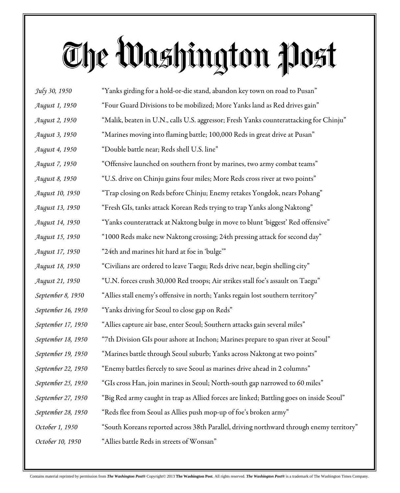| July 30, 1950          | "Yanks girding for a hold-or-die stand, abandon key town on road to Pusan"               |
|------------------------|------------------------------------------------------------------------------------------|
| August 1, 1950         | "Four Guard Divisions to be mobilized; More Yanks land as Red drives gain"               |
| August 2, 1950         | "Malik, beaten in U.N., calls U.S. aggressor; Fresh Yanks counterattacking for Chinju"   |
| August 3, 1950         | "Marines moving into flaming battle; 100,000 Reds in great drive at Pusan"               |
| <i>August 4, 1950</i>  | "Double battle near; Reds shell U.S. line"                                               |
| August 7, 1950         | "Offensive launched on southern front by marines, two army combat teams"                 |
| August 8, 1950         | "U.S. drive on Chinju gains four miles; More Reds cross river at two points"             |
| August 10, 1950        | "Trap closing on Reds before Chinju; Enemy retakes Yongdok, nears Pohang"                |
| August 13, 1950        | "Fresh GIs, tanks attack Korean Reds trying to trap Yanks along Naktong"                 |
| <i>August 14, 1950</i> | "Yanks counterattack at Naktong bulge in move to blunt 'biggest' Red offensive"          |
| August 15, 1950        | "1000 Reds make new Naktong crossing; 24th pressing attack for second day"               |
| August 17, 1950        | "24th and marines hit hard at foe in 'bulge'"                                            |
| August 18, 1950        | "Civilians are ordered to leave Taegu; Reds drive near, begin shelling city"             |
| August 21, 1950        | "U.N. forces crush 30,000 Red troops; Air strikes stall foe's assault on Taegu"          |
| September 8, 1950      | "Allies stall enemy's offensive in north; Yanks regain lost southern territory"          |
| September 16, 1950     | "Yanks driving for Seoul to close gap on Reds"                                           |
| September 17, 1950     | "Allies capture air base, enter Seoul; Southern attacks gain several miles"              |
| September 18, 1950     | "7th Division GIs pour ashore at Inchon; Marines prepare to span river at Seoul"         |
| September 19, 1950     | "Marines battle through Seoul suburb; Yanks across Naktong at two points"                |
| September 22, 1950     | "Enemy battles fiercely to save Seoul as marines drive ahead in 2 columns"               |
| September 25, 1950     | "GIs cross Han, join marines in Seoul; North-south gap narrowed to 60 miles"             |
| September 27, 1950     | "Big Red army caught in trap as Allied forces are linked; Battling goes on inside Seoul" |
| September 28, 1950     | "Reds flee from Seoul as Allies push mop-up of foe's broken army"                        |
| October 1, 1950        | "South Koreans reported across 38th Parallel, driving northward through enemy territory" |
| October 10, 1950       | "Allies battle Reds in streets of Wonsan"                                                |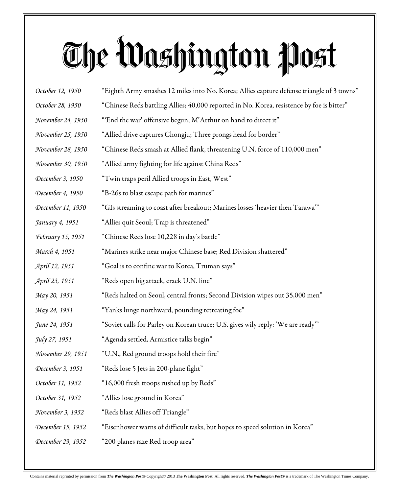| October 12, 1950  | "Eighth Army smashes 12 miles into No. Korea; Allies capture defense triangle of 3 towns" |
|-------------------|-------------------------------------------------------------------------------------------|
| October 28, 1950  | "Chinese Reds battling Allies; 40,000 reported in No. Korea, resistence by foe is bitter" |
| November 24, 1950 | "'End the war' offensive begun; M'Arthur on hand to direct it"                            |
| November 25, 1950 | "Allied drive captures Chongju; Three prongs head for border"                             |
| November 28, 1950 | "Chinese Reds smash at Allied flank, threatening U.N. force of 110,000 men"               |
| November 30, 1950 | "Allied army fighting for life against China Reds"                                        |
| December 3, 1950  | "Twin traps peril Allied troops in East, West"                                            |
| December 4, 1950  | "B-26s to blast escape path for marines"                                                  |
| December 11, 1950 | "GIs streaming to coast after breakout; Marines losses 'heavier then Tarawa'"             |
| January 4, 1951   | "Allies quit Seoul; Trap is threatened"                                                   |
| February 15, 1951 | "Chinese Reds lose 10,228 in day's battle"                                                |
| March 4, 1951     | "Marines strike near major Chinese base; Red Division shattered"                          |
| April 12, 1951    | "Goal is to confine war to Korea, Truman says"                                            |
| April 23, 1951    | "Reds open big attack, crack U.N. line"                                                   |
| May 20, 1951      | "Reds halted on Seoul, central fronts; Second Division wipes out 35,000 men"              |
| May 24, 1951      | "Yanks lunge northward, pounding retreating foe"                                          |
| June 24, 1951     | "Soviet calls for Parley on Korean truce; U.S. gives wily reply: 'We are ready'"          |
| July 27, 1951     | "Agenda settled, Armistice talks begin"                                                   |
| November 29, 1951 | "U.N., Red ground troops hold their fire"                                                 |
| December 3, 1951  | "Reds lose 5 Jets in 200-plane fight"                                                     |
| October 11, 1952  | "16,000 fresh troops rushed up by Reds"                                                   |
| October 31, 1952  | "Allies lose ground in Korea"                                                             |
| November 3, 1952  | "Reds blast Allies off Triangle"                                                          |
| December 15, 1952 | "Eisenhower warns of difficult tasks, but hopes to speed solution in Korea"               |
| December 29, 1952 | "200 planes raze Red troop area"                                                          |